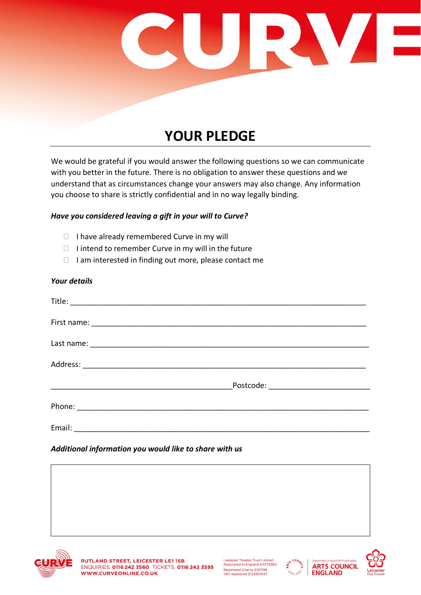

## **YOUR PLEDGE**

We would be grateful if you would answer the following questions so we can communicate with you better in the future. There is no obligation to answer these questions and we understand that as circumstances change your answers may also change. Any information you choose to share is strictly confidential and in no way legally binding.

## *Have you considered leaving a gift in your will to Curve?*

- $\Box$  I have already remembered Curve in my will
- $\Box$  I intend to remember Curve in my will in the future
- $\Box$  I am interested in finding out more, please contact me

## *Your details*

|        | Postcode: National Postcode: |  |
|--------|------------------------------|--|
|        |                              |  |
| Email: |                              |  |

## *Additional information you would like to share with us*



Leicester Theatre Trust Limited Registered in England 00772380 Registered Charity 230708<br>VAT registered 212580047